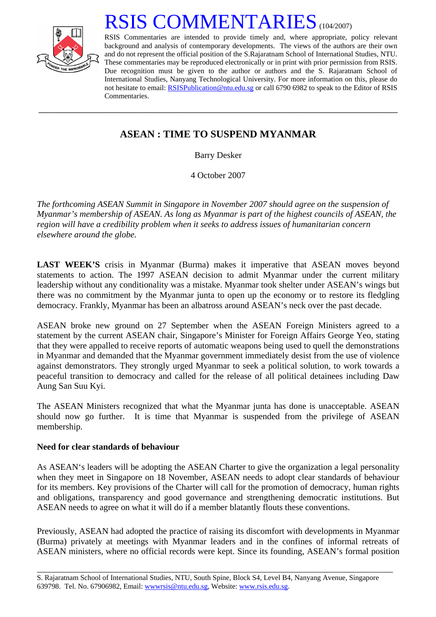

## RSIS COMMENTARIES<sup>(104/2007)</sup>

RSIS Commentaries are intended to provide timely and, where appropriate, policy relevant background and analysis of contemporary developments. The views of the authors are their own and do not represent the official position of the S.Rajaratnam School of International Studies, NTU. These commentaries may be reproduced electronically or in print with prior permission from RSIS. Due recognition must be given to the author or authors and the S. Rajaratnam School of International Studies, Nanyang Technological University. For more information on this, please do not hesitate to email: [RSISPublication@ntu.edu.sg](mailto:RSISPublication@ntu.edu.sg) or call 6790 6982 to speak to the Editor of RSIS Commentaries.

## **ASEAN : TIME TO SUSPEND MYANMAR**

**\_\_\_\_\_\_\_\_\_\_\_\_\_\_\_\_\_\_\_\_\_\_\_\_\_\_\_\_\_\_\_\_\_\_\_\_\_\_\_\_\_\_\_\_\_\_\_\_\_\_\_\_\_\_\_\_\_\_\_\_\_\_\_\_\_\_\_\_\_\_\_\_\_\_\_\_\_\_\_\_\_\_\_\_\_\_\_\_\_\_\_\_\_\_\_\_\_\_** 

Barry Desker

4 October 2007

*The forthcoming ASEAN Summit in Singapore in November 2007 should agree on the suspension of Myanmar's membership of ASEAN. As long as Myanmar is part of the highest councils of ASEAN, the region will have a credibility problem when it seeks to address issues of humanitarian concern elsewhere around the globe.* 

**LAST WEEK'S** crisis in Myanmar (Burma) makes it imperative that ASEAN moves beyond statements to action. The 1997 ASEAN decision to admit Myanmar under the current military leadership without any conditionality was a mistake. Myanmar took shelter under ASEAN's wings but there was no commitment by the Myanmar junta to open up the economy or to restore its fledgling democracy. Frankly, Myanmar has been an albatross around ASEAN's neck over the past decade.

ASEAN broke new ground on 27 September when the ASEAN Foreign Ministers agreed to a statement by the current ASEAN chair, Singapore's Minister for Foreign Affairs George Yeo, stating that they were appalled to receive reports of automatic weapons being used to quell the demonstrations in Myanmar and demanded that the Myanmar government immediately desist from the use of violence against demonstrators. They strongly urged Myanmar to seek a political solution, to work towards a peaceful transition to democracy and called for the release of all political detainees including Daw Aung San Suu Kyi.

The ASEAN Ministers recognized that what the Myanmar junta has done is unacceptable. ASEAN should now go further. It is time that Myanmar is suspended from the privilege of ASEAN membership.

## **Need for clear standards of behaviour**

As ASEAN's leaders will be adopting the ASEAN Charter to give the organization a legal personality when they meet in Singapore on 18 November, ASEAN needs to adopt clear standards of behaviour for its members. Key provisions of the Charter will call for the promotion of democracy, human rights and obligations, transparency and good governance and strengthening democratic institutions. But ASEAN needs to agree on what it will do if a member blatantly flouts these conventions.

Previously, ASEAN had adopted the practice of raising its discomfort with developments in Myanmar (Burma) privately at meetings with Myanmar leaders and in the confines of informal retreats of ASEAN ministers, where no official records were kept. Since its founding, ASEAN's formal position

\_\_\_\_\_\_\_\_\_\_\_\_\_\_\_\_\_\_\_\_\_\_\_\_\_\_\_\_\_\_\_\_\_\_\_\_\_\_\_\_\_\_\_\_\_\_\_\_\_\_\_\_\_\_\_\_\_\_\_\_\_\_\_\_\_\_\_\_\_\_\_\_\_\_\_\_\_\_\_\_\_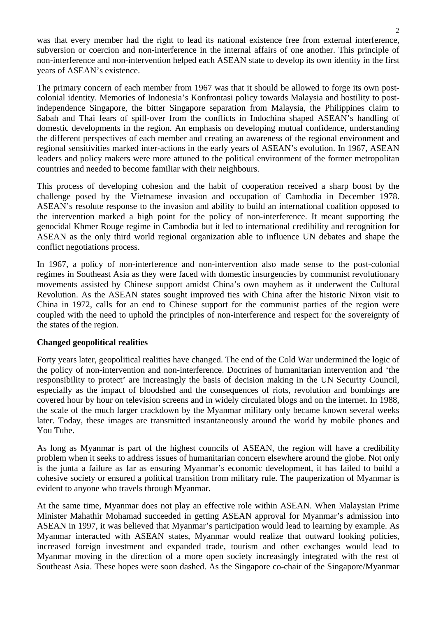was that every member had the right to lead its national existence free from external interference, subversion or coercion and non-interference in the internal affairs of one another. This principle of non-interference and non-intervention helped each ASEAN state to develop its own identity in the first years of ASEAN's existence.

The primary concern of each member from 1967 was that it should be allowed to forge its own postcolonial identity. Memories of Indonesia's Konfrontasi policy towards Malaysia and hostility to postindependence Singapore, the bitter Singapore separation from Malaysia, the Philippines claim to Sabah and Thai fears of spill-over from the conflicts in Indochina shaped ASEAN's handling of domestic developments in the region. An emphasis on developing mutual confidence, understanding the different perspectives of each member and creating an awareness of the regional environment and regional sensitivities marked inter-actions in the early years of ASEAN's evolution. In 1967, ASEAN leaders and policy makers were more attuned to the political environment of the former metropolitan countries and needed to become familiar with their neighbours.

This process of developing cohesion and the habit of cooperation received a sharp boost by the challenge posed by the Vietnamese invasion and occupation of Cambodia in December 1978. ASEAN's resolute response to the invasion and ability to build an international coalition opposed to the intervention marked a high point for the policy of non-interference. It meant supporting the genocidal Khmer Rouge regime in Cambodia but it led to international credibility and recognition for ASEAN as the only third world regional organization able to influence UN debates and shape the conflict negotiations process.

In 1967, a policy of non-interference and non-intervention also made sense to the post-colonial regimes in Southeast Asia as they were faced with domestic insurgencies by communist revolutionary movements assisted by Chinese support amidst China's own mayhem as it underwent the Cultural Revolution. As the ASEAN states sought improved ties with China after the historic Nixon visit to China in 1972, calls for an end to Chinese support for the communist parties of the region were coupled with the need to uphold the principles of non-interference and respect for the sovereignty of the states of the region.

## **Changed geopolitical realities**

Forty years later, geopolitical realities have changed. The end of the Cold War undermined the logic of the policy of non-intervention and non-interference. Doctrines of humanitarian intervention and 'the responsibility to protect' are increasingly the basis of decision making in the UN Security Council, especially as the impact of bloodshed and the consequences of riots, revolution and bombings are covered hour by hour on television screens and in widely circulated blogs and on the internet. In 1988, the scale of the much larger crackdown by the Myanmar military only became known several weeks later. Today, these images are transmitted instantaneously around the world by mobile phones and You Tube.

As long as Myanmar is part of the highest councils of ASEAN, the region will have a credibility problem when it seeks to address issues of humanitarian concern elsewhere around the globe. Not only is the junta a failure as far as ensuring Myanmar's economic development, it has failed to build a cohesive society or ensured a political transition from military rule. The pauperization of Myanmar is evident to anyone who travels through Myanmar.

At the same time, Myanmar does not play an effective role within ASEAN. When Malaysian Prime Minister Mahathir Mohamad succeeded in getting ASEAN approval for Myanmar's admission into ASEAN in 1997, it was believed that Myanmar's participation would lead to learning by example. As Myanmar interacted with ASEAN states, Myanmar would realize that outward looking policies, increased foreign investment and expanded trade, tourism and other exchanges would lead to Myanmar moving in the direction of a more open society increasingly integrated with the rest of Southeast Asia. These hopes were soon dashed. As the Singapore co-chair of the Singapore/Myanmar